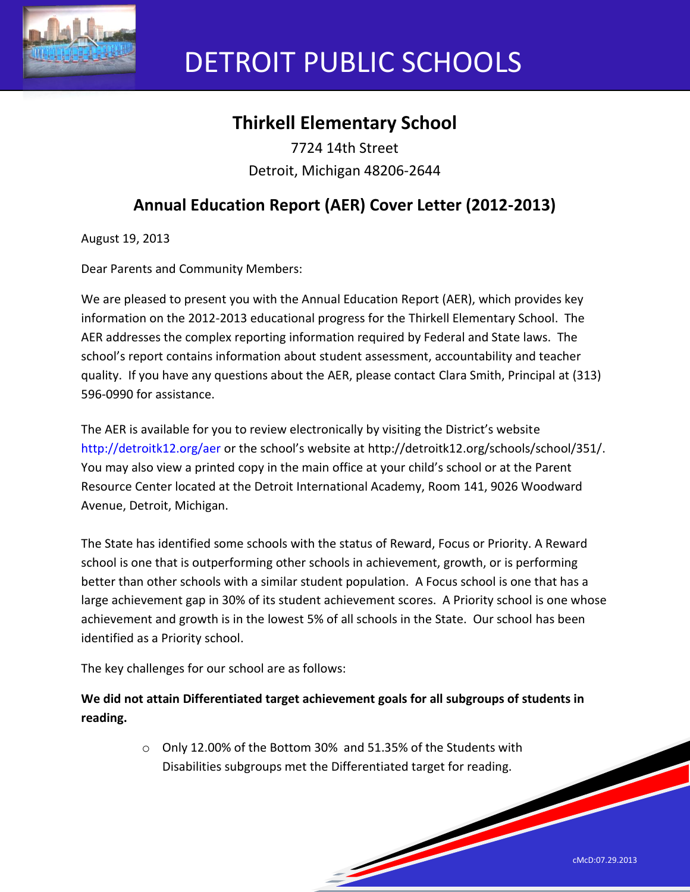

# DETROIT PUBLIC SCHOOLS

# **Thirkell Elementary School**

7724 14th Street Detroit, Michigan 48206-2644

## **Annual Education Report (AER) Cover Letter (2012-2013)**

August 19, 2013

Dear Parents and Community Members:

We are pleased to present you with the Annual Education Report (AER), which provides key information on the 2012-2013 educational progress for the Thirkell Elementary School. The AER addresses the complex reporting information required by Federal and State laws. The school's report contains information about student assessment, accountability and teacher quality. If you have any questions about the AER, please contact Clara Smith, Principal at (313) 596-0990 for assistance.

The AER is available for you to review electronically by visiting the District's website http://detroitk12.org/aer or the school's website at http://detroitk12.org/schools/school/351/. You may also view a printed copy in the main office at your child's school or at the Parent Resource Center located at the Detroit International Academy, Room 141, 9026 Woodward Avenue, Detroit, Michigan.

The State has identified some schools with the status of Reward, Focus or Priority. A Reward school is one that is outperforming other schools in achievement, growth, or is performing better than other schools with a similar student population. A Focus school is one that has a large achievement gap in 30% of its student achievement scores. A Priority school is one whose achievement and growth is in the lowest 5% of all schools in the State. Our school has been identified as a Priority school.

The key challenges for our school are as follows:

**We did not attain Differentiated target achievement goals for all subgroups of students in reading.**

> o Only 12.00% of the Bottom 30% and 51.35% of the Students with Disabilities subgroups met the Differentiated target for reading.

> > **Soldiers**

cMcD:07.29.2013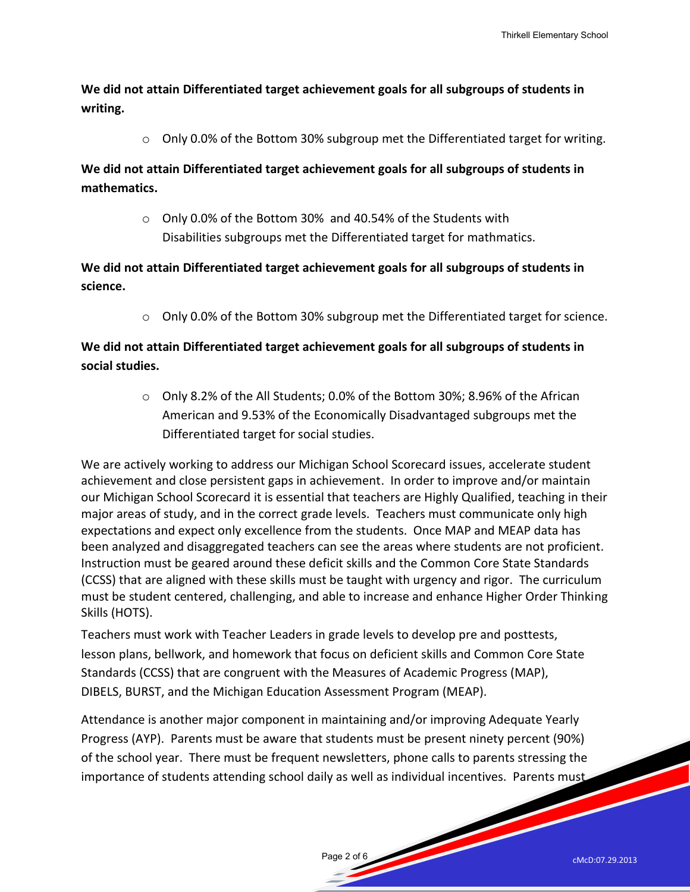**We did not attain Differentiated target achievement goals for all subgroups of students in writing.** 

o Only 0.0% of the Bottom 30% subgroup met the Differentiated target for writing.

**We did not attain Differentiated target achievement goals for all subgroups of students in mathematics.** 

> o Only 0.0% of the Bottom 30% and 40.54% of the Students with Disabilities subgroups met the Differentiated target for mathmatics.

**We did not attain Differentiated target achievement goals for all subgroups of students in science.** 

 $\circ$  Only 0.0% of the Bottom 30% subgroup met the Differentiated target for science.

## **We did not attain Differentiated target achievement goals for all subgroups of students in social studies.**

o Only 8.2% of the All Students; 0.0% of the Bottom 30%; 8.96% of the African American and 9.53% of the Economically Disadvantaged subgroups met the Differentiated target for social studies.

We are actively working to address our Michigan School Scorecard issues, accelerate student achievement and close persistent gaps in achievement. In order to improve and/or maintain our Michigan School Scorecard it is essential that teachers are Highly Qualified, teaching in their major areas of study, and in the correct grade levels. Teachers must communicate only high expectations and expect only excellence from the students. Once MAP and MEAP data has been analyzed and disaggregated teachers can see the areas where students are not proficient. Instruction must be geared around these deficit skills and the Common Core State Standards (CCSS) that are aligned with these skills must be taught with urgency and rigor. The curriculum must be student centered, challenging, and able to increase and enhance Higher Order Thinking Skills (HOTS).

Teachers must work with Teacher Leaders in grade levels to develop pre and posttests, lesson plans, bellwork, and homework that focus on deficient skills and Common Core State Standards (CCSS) that are congruent with the Measures of Academic Progress (MAP), DIBELS, BURST, and the Michigan Education Assessment Program (MEAP).

Attendance is another major component in maintaining and/or improving Adequate Yearly Progress (AYP). Parents must be aware that students must be present ninety percent (90%) of the school year. There must be frequent newsletters, phone calls to parents stressing the importance of students attending school daily as well as individual incentives. Parents must

Page 2 of 6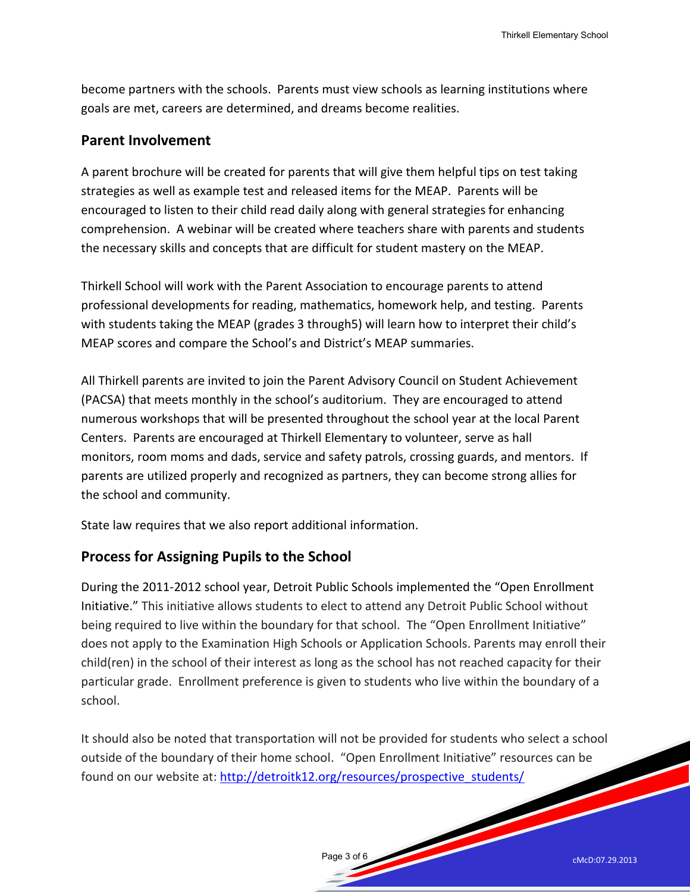become partners with the schools. Parents must view schools as learning institutions where goals are met, careers are determined, and dreams become realities.

#### **Parent Involvement**

A parent brochure will be created for parents that will give them helpful tips on test taking strategies as well as example test and released items for the MEAP. Parents will be encouraged to listen to their child read daily along with general strategies for enhancing comprehension. A webinar will be created where teachers share with parents and students the necessary skills and concepts that are difficult for student mastery on the MEAP.

Thirkell School will work with the Parent Association to encourage parents to attend professional developments for reading, mathematics, homework help, and testing. Parents with students taking the MEAP (grades 3 through5) will learn how to interpret their child's MEAP scores and compare the School's and District's MEAP summaries.

All Thirkell parents are invited to join the Parent Advisory Council on Student Achievement (PACSA) that meets monthly in the school's auditorium. They are encouraged to attend numerous workshops that will be presented throughout the school year at the local Parent Centers. Parents are encouraged at Thirkell Elementary to volunteer, serve as hall monitors, room moms and dads, service and safety patrols, crossing guards, and mentors. If parents are utilized properly and recognized as partners, they can become strong allies for the school and community.

State law requires that we also report additional information.

## **Process for Assigning Pupils to the School**

During the 2011-2012 school year, Detroit Public Schools implemented the "Open Enrollment Initiative." This initiative allows students to elect to attend any Detroit Public School without being required to live within the boundary for that school. The "Open Enrollment Initiative" does not apply to the Examination High Schools or Application Schools. Parents may enroll their child(ren) in the school of their interest as long as the school has not reached capacity for their particular grade. Enrollment preference is given to students who live within the boundary of a school.

It should also be noted that transportation will not be provided for students who select a school outside of the boundary of their home school. "Open Enrollment Initiative" resources can be found on our website at: [http://detroitk12.org/resources/prospective\\_students/](http://detroitk12.org/resources/prospective_students/)

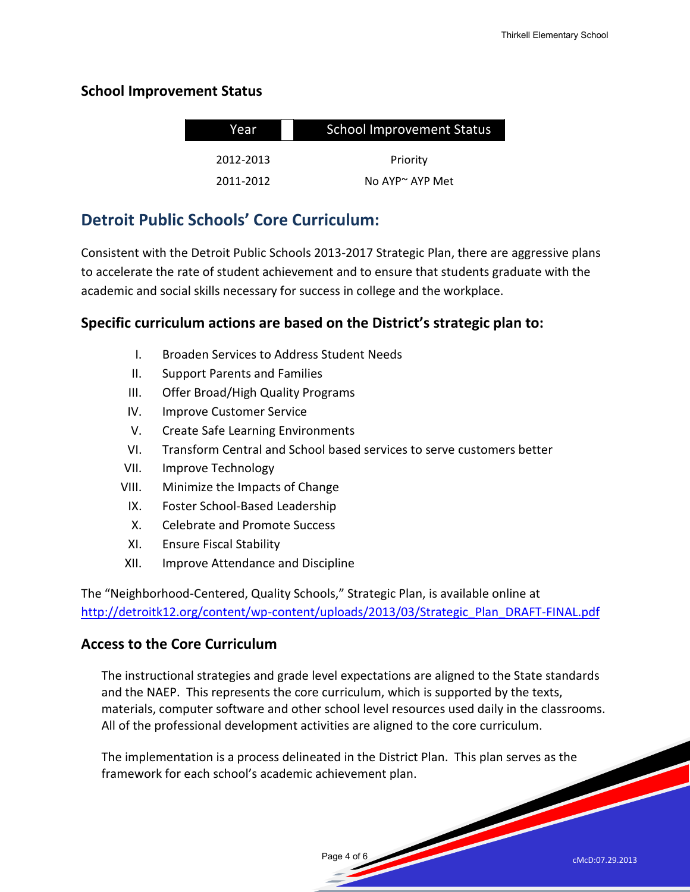## **School Improvement Status**

| Year      | <b>School Improvement Status</b> |  |
|-----------|----------------------------------|--|
|           |                                  |  |
| 2012-2013 | Priority                         |  |
| 2011-2012 | No $AP^{\sim}$ AYP Met           |  |

## **Detroit Public Schools' Core Curriculum:**

Consistent with the Detroit Public Schools 2013-2017 Strategic Plan, there are aggressive plans to accelerate the rate of student achievement and to ensure that students graduate with the academic and social skills necessary for success in college and the workplace.

## **Specific curriculum actions are based on the District's strategic plan to:**

- I. Broaden Services to Address Student Needs
- II. Support Parents and Families
- III. Offer Broad/High Quality Programs
- IV. Improve Customer Service
- V. Create Safe Learning Environments
- VI. Transform Central and School based services to serve customers better
- VII. Improve Technology
- VIII. Minimize the Impacts of Change
	- IX. Foster School-Based Leadership
	- X. Celebrate and Promote Success
	- XI. Ensure Fiscal Stability
- XII. Improve Attendance and Discipline

The "Neighborhood-Centered, Quality Schools," Strategic Plan, is available online at [http://detroitk12.org/content/wp-content/uploads/2013/03/Strategic\\_Plan\\_DRAFT-FINAL.pdf](http://detroitk12.org/content/wp-content/uploads/2013/03/Strategic_Plan_DRAFT-FINAL.pdf)

## **Access to the Core Curriculum**

The instructional strategies and grade level expectations are aligned to the State standards and the NAEP. This represents the core curriculum, which is supported by the texts, materials, computer software and other school level resources used daily in the classrooms. All of the professional development activities are aligned to the core curriculum.

The implementation is a process delineated in the District Plan. This plan serves as the framework for each school's academic achievement plan.

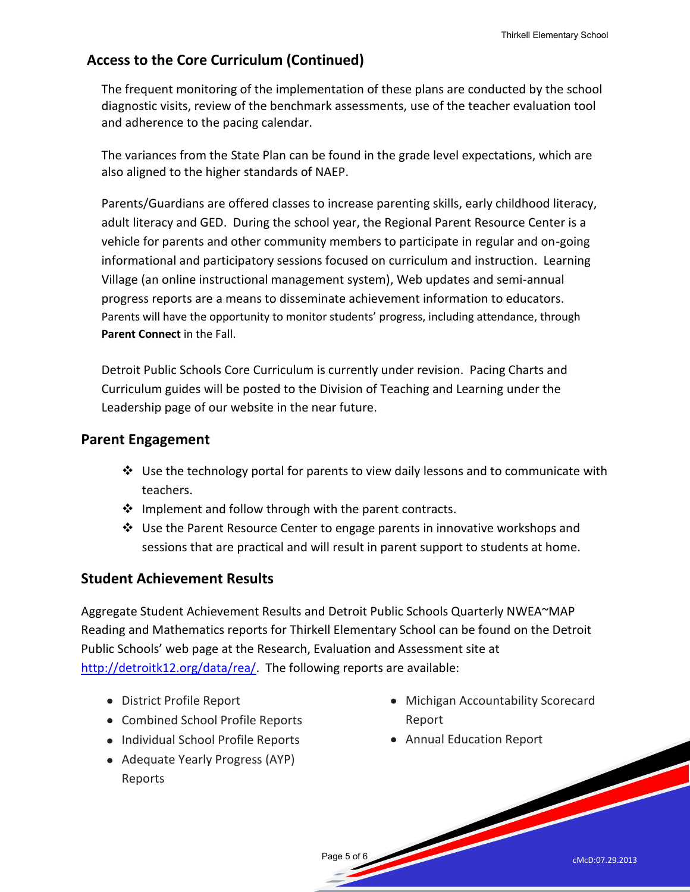## **Access to the Core Curriculum (Continued)**

The frequent monitoring of the implementation of these plans are conducted by the school diagnostic visits, review of the benchmark assessments, use of the teacher evaluation tool and adherence to the pacing calendar.

The variances from the State Plan can be found in the grade level expectations, which are also aligned to the higher standards of NAEP.

Parents/Guardians are offered classes to increase parenting skills, early childhood literacy, adult literacy and GED. During the school year, the Regional Parent Resource Center is a vehicle for parents and other community members to participate in regular and on-going informational and participatory sessions focused on curriculum and instruction. Learning Village (an online instructional management system), Web updates and semi-annual progress reports are a means to disseminate achievement information to educators. Parents will have the opportunity to monitor students' progress, including attendance, through **Parent Connect** in the Fall.

Detroit Public Schools Core Curriculum is currently under revision. Pacing Charts and Curriculum guides will be posted to the Division of Teaching and Learning under the Leadership page of our website in the near future.

## **Parent Engagement**

- $\div$  Use the technology portal for parents to view daily lessons and to communicate with teachers.
- $\cdot$  Implement and follow through with the parent contracts.
- $\div$  Use the Parent Resource Center to engage parents in innovative workshops and sessions that are practical and will result in parent support to students at home.

## **Student Achievement Results**

Aggregate Student Achievement Results and Detroit Public Schools Quarterly NWEA~MAP Reading and Mathematics reports for Thirkell Elementary School can be found on the Detroit Public Schools' web page at the Research, Evaluation and Assessment site at [http://detroitk12.org/data/rea/.](http://detroitk12.org/data/rea/) The following reports are available:

Page 5 of 6

- District Profile Report
- Combined School Profile Reports
- Individual School Profile Reports
- Adequate Yearly Progress (AYP) Reports
- Michigan Accountability Scorecard Report
- Annual Education Report